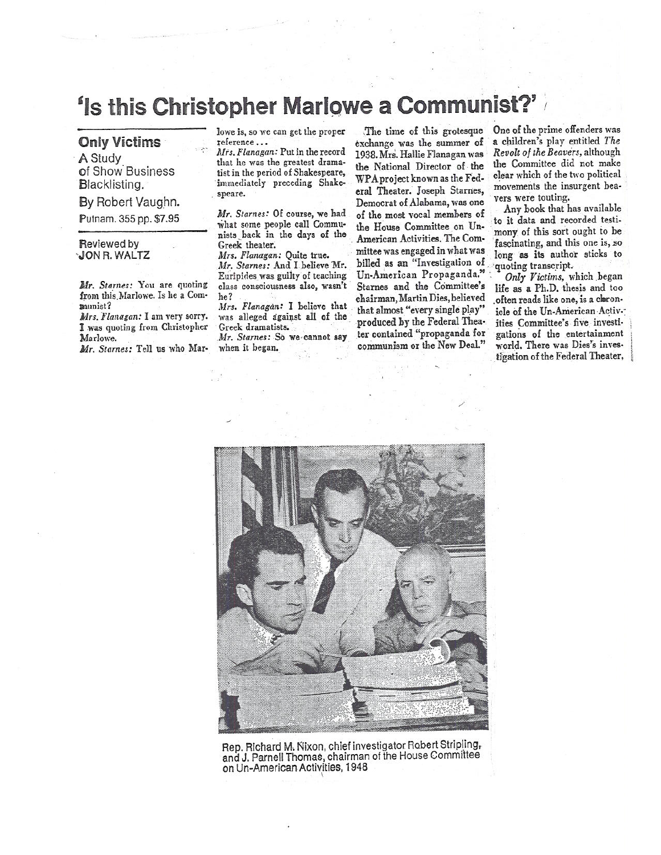## **'Is this Christopher Marlowe a Communist**

## **Only Victims**

**A** Study of Show Business Blacklisting.

By Robert Vaughn.

Putnam. 355 pp. \$7.95

## Reviewed by -JON R. WALTZ

*Mr. Starnes:* You *are* quoting from this Marlowe. Is he a Com**allMiSt?** 

*1,Irs. Flanagan: I* am very sorry. I was quoting from Christopher Ma rlowe.

*Mr. Starnes:* Tell us who Mar-

lowe is, so we can get the proper reference ...

*Mrs. Flanagan:* Put in the record that he was the greatest dramatist in the period of Shakespeare, immediately preceding Shakespeare.

*Mr. Starnes:* Of course, we had What some people call Communists back in the days of the Greek theater.

*Mrs. Flanagan:* Quite true. *Mr. Starnes:* And I. believe Mr. Euripides was guilty of teaching *class* consciousness also, wasn't be?

*Mrs. Flanagan:* I believe that was alleged against *all* of the Greek dramatists.

*Mr. Starnes: So* we cannot say when it began.

The time of this grotesque exchange was the summer of 1938. Mrs. Hallie Flanagan was the National Director of the WPA project known as the Federal Theater. Joseph Starnes, Democrat of Alabama, was one of the most vocal members of the House Committee on Un-American Activities. The Committee was engaged in what was billed as an "Investigation of Un-American Propaganda." Starnes and the Committee's chairman, Martin Dies, believed that almost "every single play" produced by the Federal Theater contained "propaganda for communism or the New Deal."

One of the prime offenders was <sup>a</sup>children's play entitled *The Revolt of the Beavers,* although the Committee did not make clear which of the two political movements the insurgent beavers were touting.

Any book that has available to *it* data and recorded testimony of this sort ought to be fascinating, and this one is, so long as its author sticks to quoting transcript.

*Only Victims,* which began life as a Ph.D. thesis and too often reads like one, is a cheronicle of the Un-American Activities Committee's five investigations of the entertainment world. There was Dies's investigation of the Federal Theater,



Rep. Richard M. Nixon, chief investigator Robert Stripling, and J. Parnell Thomas, chairman of the House Committee on Un-American Activities, 1948